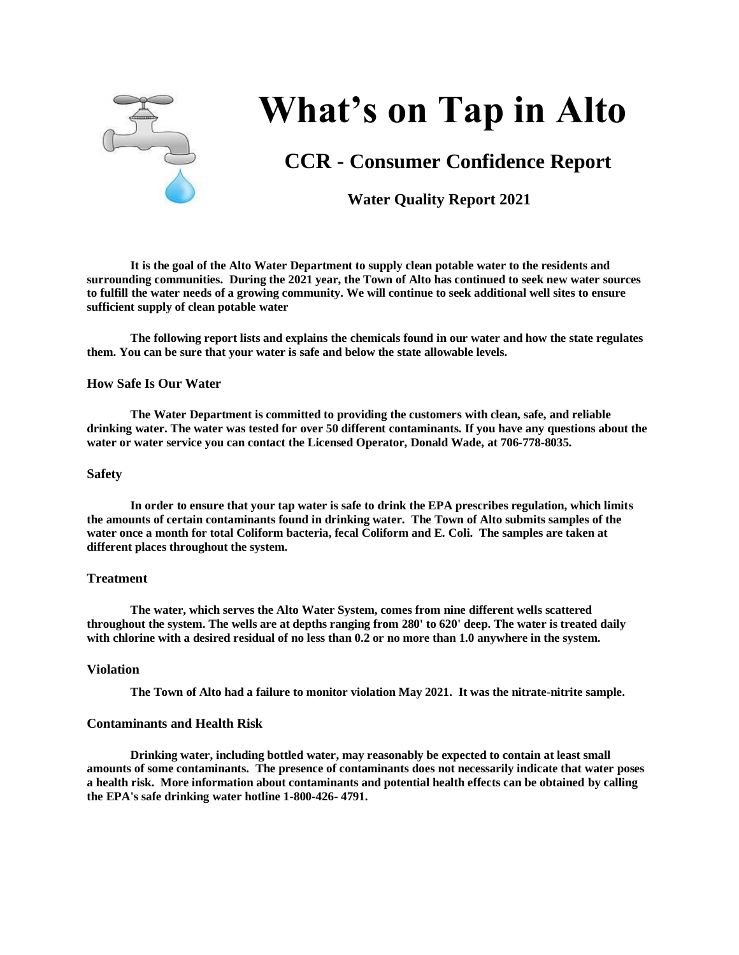

# **What's on Tap in Alto**

# **CCR - Consumer Confidence Report**

# **Water Quality Report 2021**

**It is the goal of the Alto Water Department to supply clean potable water to the residents and surrounding communities. During the 2021 year, the Town of Alto has continued to seek new water sources to fulfill the water needs of a growing community. We will continue to seek additional well sites to ensure sufficient supply of clean potable water** 

**The following report lists and explains the chemicals found in our water and how the state regulates them. You can be sure that your water is safe and below the state allowable levels.** 

# **How Safe Is Our Water**

**The Water Department is committed to providing the customers with clean, safe, and reliable drinking water. The water was tested for over 50 different contaminants. If you have any questions about the water or water service you can contact the Licensed Operator, Donald Wade, at 706-778-8035.**

#### **Safety**

**In order to ensure that your tap water is safe to drink the EPA prescribes regulation, which limits the amounts of certain contaminants found in drinking water. The Town of Alto submits samples of the water once a month for total Coliform bacteria, fecal Coliform and E. Coli. The samples are taken at different places throughout the system.**

#### **Treatment**

**The water, which serves the Alto Water System, comes from nine different wells scattered throughout the system. The wells are at depths ranging from 280' to 620' deep. The water is treated daily with chlorine with a desired residual of no less than 0.2 or no more than 1.0 anywhere in the system.**

# **Violation**

**The Town of Alto had a failure to monitor violation May 2021. It was the nitrate-nitrite sample.**

# **Contaminants and Health Risk**

**Drinking water, including bottled water, may reasonably be expected to contain at least small amounts of some contaminants. The presence of contaminants does not necessarily indicate that water poses a health risk. More information about contaminants and potential health effects can be obtained by calling the EPA's safe drinking water hotline 1-800-426- 4791.**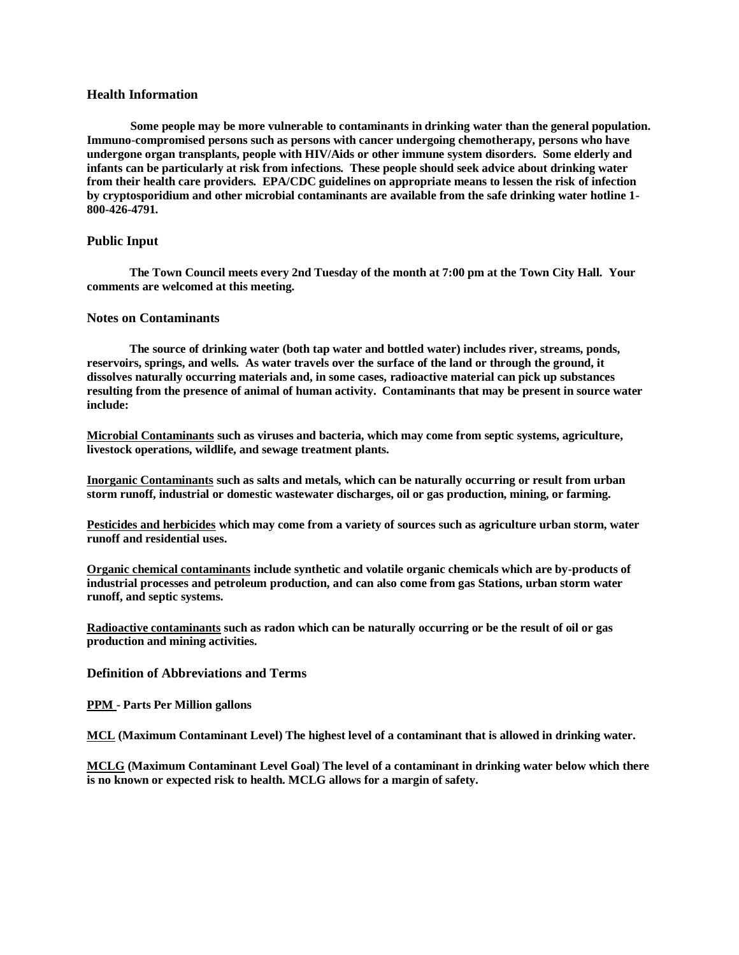# **Health Information**

**Some people may be more vulnerable to contaminants in drinking water than the general population. Immuno-compromised persons such as persons with cancer undergoing chemotherapy, persons who have undergone organ transplants, people with HIV/Aids or other immune system disorders. Some elderly and infants can be particularly at risk from infections. These people should seek advice about drinking water from their health care providers. EPA/CDC guidelines on appropriate means to lessen the risk of infection by cryptosporidium and other microbial contaminants are available from the safe drinking water hotline 1- 800-426-4791.**

# **Public Input**

 **The Town Council meets every 2nd Tuesday of the month at 7:00 pm at the Town City Hall. Your comments are welcomed at this meeting.**

#### **Notes on Contaminants**

 **The source of drinking water (both tap water and bottled water) includes river, streams, ponds, reservoirs, springs, and wells. As water travels over the surface of the land or through the ground, it dissolves naturally occurring materials and, in some cases, radioactive material can pick up substances resulting from the presence of animal of human activity. Contaminants that may be present in source water include:**

**Microbial Contaminants such as viruses and bacteria, which may come from septic systems, agriculture, livestock operations, wildlife, and sewage treatment plants.**

**Inorganic Contaminants such as salts and metals, which can be naturally occurring or result from urban storm runoff, industrial or domestic wastewater discharges, oil or gas production, mining, or farming.**

**Pesticides and herbicides which may come from a variety of sources such as agriculture urban storm, water runoff and residential uses.**

**Organic chemical contaminants include synthetic and volatile organic chemicals which are by-products of industrial processes and petroleum production, and can also come from gas Stations, urban storm water runoff, and septic systems.**

**Radioactive contaminants such as radon which can be naturally occurring or be the result of oil or gas production and mining activities.**

# **Definition of Abbreviations and Terms**

**PPM - Parts Per Million gallons**

**MCL (Maximum Contaminant Level) The highest level of a contaminant that is allowed in drinking water.**

**MCLG (Maximum Contaminant Level Goal) The level of a contaminant in drinking water below which there is no known or expected risk to health. MCLG allows for a margin of safety.**